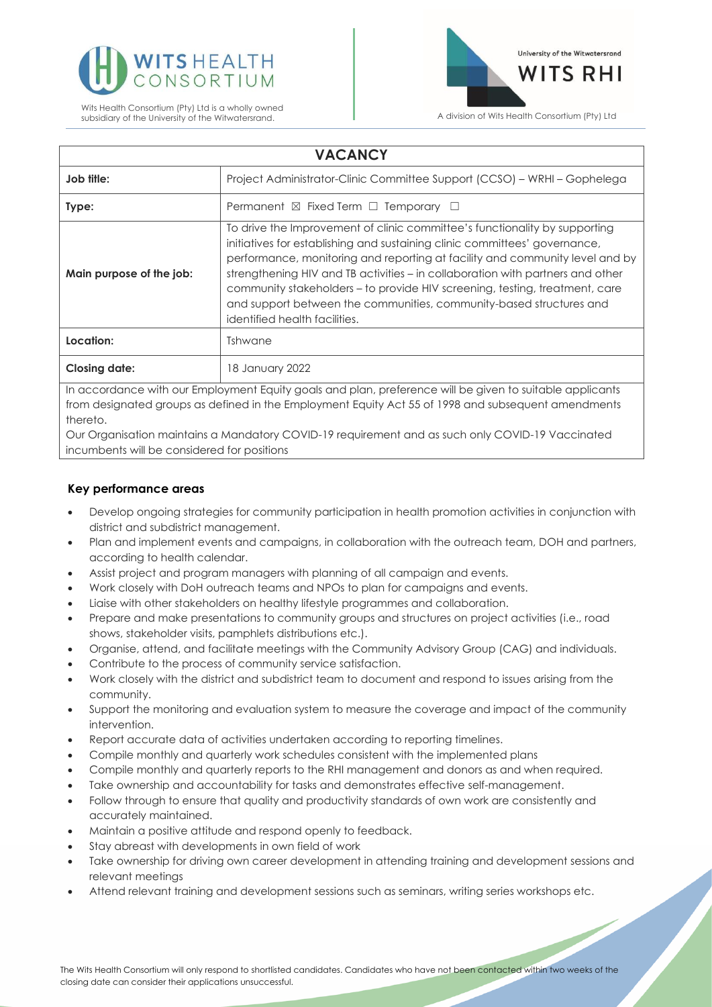

Wits Health Consortium (Pty) Ltd is a wholly owned subsidiary of the University of the Witwatersrand. **A division of Wits Health Consortium (Pty)** Ltd



| <b>VACANCY</b>                                                                                                                                                                                                  |                                                                                                                                                                                                                                                                                                                                                                                                                                                                                                                   |
|-----------------------------------------------------------------------------------------------------------------------------------------------------------------------------------------------------------------|-------------------------------------------------------------------------------------------------------------------------------------------------------------------------------------------------------------------------------------------------------------------------------------------------------------------------------------------------------------------------------------------------------------------------------------------------------------------------------------------------------------------|
| Job title:                                                                                                                                                                                                      | Project Administrator-Clinic Committee Support (CCSO) - WRHI - Gophelega                                                                                                                                                                                                                                                                                                                                                                                                                                          |
| Type:                                                                                                                                                                                                           | Permanent $\boxtimes$ Fixed Term $\Box$ Temporary $\Box$                                                                                                                                                                                                                                                                                                                                                                                                                                                          |
| Main purpose of the job:                                                                                                                                                                                        | To drive the Improvement of clinic committee's functionality by supporting<br>initiatives for establishing and sustaining clinic committees' governance,<br>performance, monitoring and reporting at facility and community level and by<br>strengthening HIV and TB activities - in collaboration with partners and other<br>community stakeholders - to provide HIV screening, testing, treatment, care<br>and support between the communities, community-based structures and<br>identified health facilities. |
| Location:                                                                                                                                                                                                       | Tshwane                                                                                                                                                                                                                                                                                                                                                                                                                                                                                                           |
| <b>Closing date:</b>                                                                                                                                                                                            | 18 January 2022                                                                                                                                                                                                                                                                                                                                                                                                                                                                                                   |
| In accordance with our Employment Equity goals and plan, preference will be given to suitable applicants<br>from designated groups as defined in the Employment Faulty Act 55 of 1998 and subsequent amendments |                                                                                                                                                                                                                                                                                                                                                                                                                                                                                                                   |

ed in the Employment Equity Act 55 of 1998 and subs thereto.

Our Organisation maintains a Mandatory COVID-19 requirement and as such only COVID-19 Vaccinated incumbents will be considered for positions

# **Key performance areas**

- Develop ongoing strategies for community participation in health promotion activities in conjunction with district and subdistrict management.
- Plan and implement events and campaigns, in collaboration with the outreach team, DOH and partners, according to health calendar.
- Assist project and program managers with planning of all campaign and events.
- Work closely with DoH outreach teams and NPOs to plan for campaigns and events.
- Liaise with other stakeholders on healthy lifestyle programmes and collaboration.
- Prepare and make presentations to community groups and structures on project activities (i.e., road shows, stakeholder visits, pamphlets distributions etc.).
- Organise, attend, and facilitate meetings with the Community Advisory Group (CAG) and individuals.
- Contribute to the process of community service satisfaction.
- Work closely with the district and subdistrict team to document and respond to issues arising from the community.
- Support the monitoring and evaluation system to measure the coverage and impact of the community intervention.
- Report accurate data of activities undertaken according to reporting timelines.
- Compile monthly and quarterly work schedules consistent with the implemented plans
- Compile monthly and quarterly reports to the RHI management and donors as and when required.
- Take ownership and accountability for tasks and demonstrates effective self-management.
- Follow through to ensure that quality and productivity standards of own work are consistently and accurately maintained.
- Maintain a positive attitude and respond openly to feedback.
- Stay abreast with developments in own field of work
- Take ownership for driving own career development in attending training and development sessions and relevant meetings
- Attend relevant training and development sessions such as seminars, writing series workshops etc.